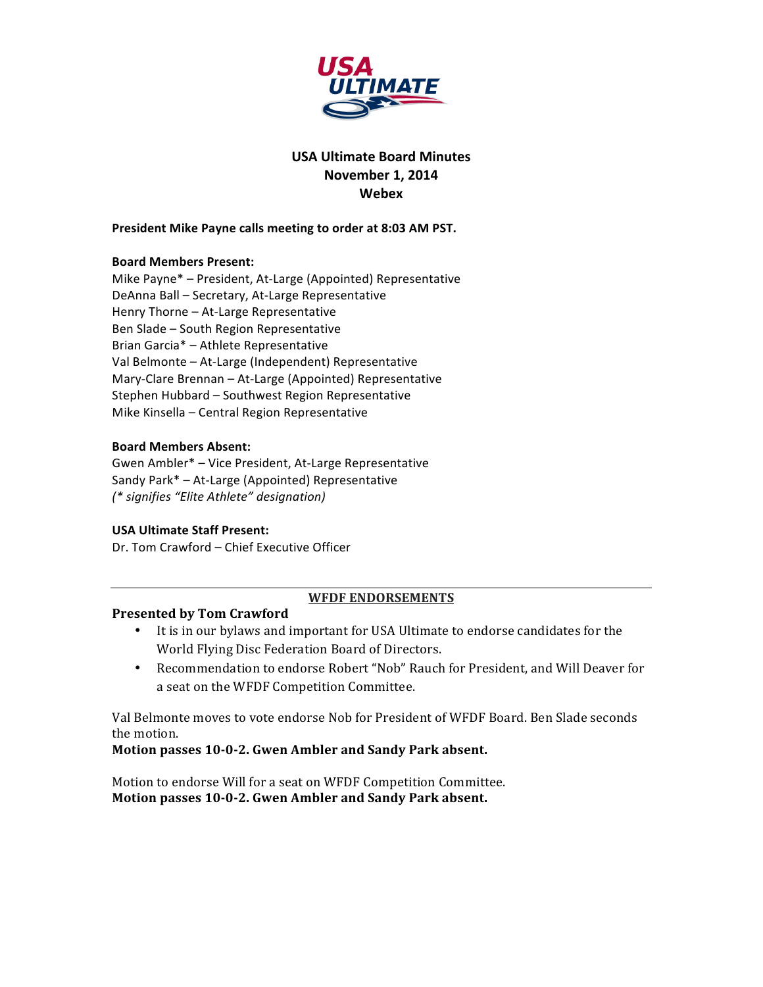

# **USA Ultimate Board Minutes November 1, 2014 Webex**

#### President Mike Payne calls meeting to order at 8:03 AM PST.

### **Board Members Present:**

Mike Payne\* - President, At-Large (Appointed) Representative DeAnna Ball - Secretary, At-Large Representative Henry  $Thene - At-Large Representatione$ Ben Slade - South Region Representative Brian Garcia\* - Athlete Representative Val Belmonte - At-Large (Independent) Representative Mary-Clare Brennan - At-Large (Appointed) Representative Stephen Hubbard - Southwest Region Representative Mike Kinsella – Central Region Representative

### **Board Members Absent:**

Gwen Ambler\* - Vice President, At-Large Representative Sandy Park\* - At-Large (Appointed) Representative *(\* signifies "Elite Athlete" designation)*

#### **USA Ultimate Staff Present:**

Dr. Tom Crawford - Chief Executive Officer

### WFDF ENDORSEMENTS

### **Presented by Tom Crawford**

- It is in our bylaws and important for USA Ultimate to endorse candidates for the World Flying Disc Federation Board of Directors.
- Recommendation to endorse Robert "Nob" Rauch for President, and Will Deaver for a seat on the WFDF Competition Committee.

Val Belmonte moves to vote endorse Nob for President of WFDF Board. Ben Slade seconds the motion.

### **Motion passes 10-0-2. Gwen Ambler and Sandy Park absent.**

Motion to endorse Will for a seat on WFDF Competition Committee. Motion passes 10-0-2. Gwen Ambler and Sandy Park absent.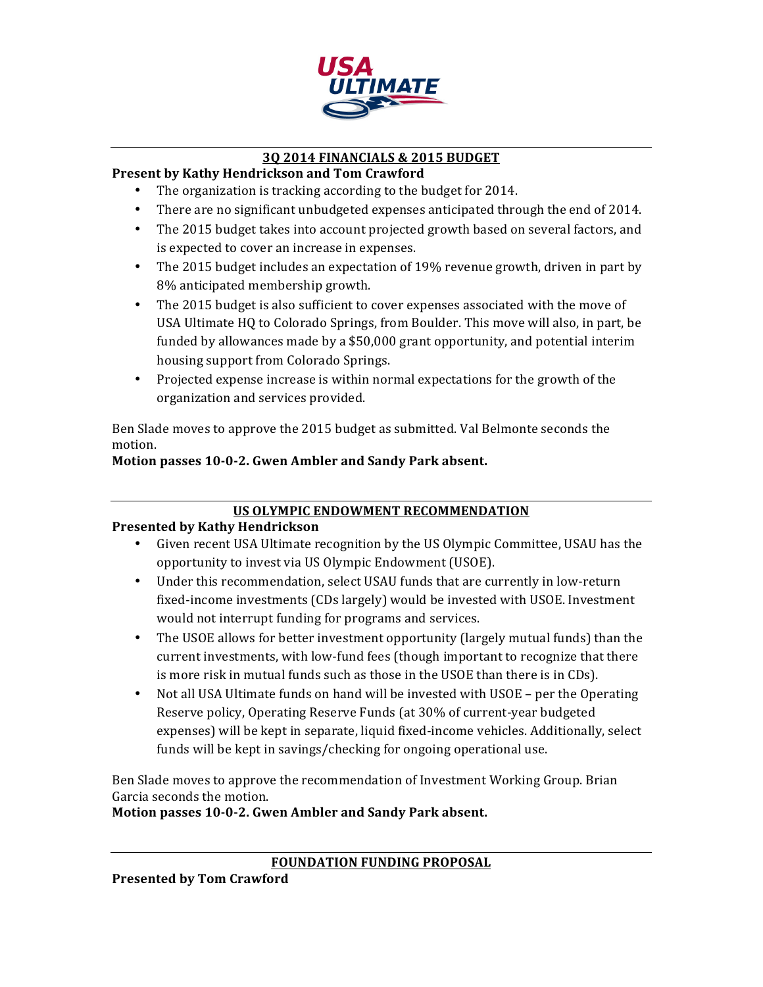

# **3Q 2014 FINANCIALS & 2015 BUDGET**

# **Present by Kathy Hendrickson and Tom Crawford**

- The organization is tracking according to the budget for 2014.
- There are no significant unbudgeted expenses anticipated through the end of 2014.
- The 2015 budget takes into account projected growth based on several factors, and is expected to cover an increase in expenses.
- The 2015 budget includes an expectation of 19% revenue growth, driven in part by 8% anticipated membership growth.
- The 2015 budget is also sufficient to cover expenses associated with the move of USA Ultimate HQ to Colorado Springs, from Boulder. This move will also, in part, be funded by allowances made by a \$50,000 grant opportunity, and potential interim housing support from Colorado Springs.
- Projected expense increase is within normal expectations for the growth of the organization and services provided.

Ben Slade moves to approve the 2015 budget as submitted. Val Belmonte seconds the motion.

# Motion passes 10-0-2. Gwen Ambler and Sandy Park absent.

# **US OLYMPIC ENDOWMENT RECOMMENDATION**

# **Presented by Kathy Hendrickson**

- Given recent USA Ultimate recognition by the US Olympic Committee, USAU has the opportunity to invest via US Olympic Endowment (USOE).
- Under this recommendation, select USAU funds that are currently in low-return fixed-income investments (CDs largely) would be invested with USOE. Investment would not interrupt funding for programs and services.
- The USOE allows for better investment opportunity (largely mutual funds) than the current investments, with low-fund fees (though important to recognize that there is more risk in mutual funds such as those in the USOE than there is in CDs).
- Not all USA Ultimate funds on hand will be invested with USOE per the Operating Reserve policy, Operating Reserve Funds (at 30% of current-year budgeted expenses) will be kept in separate, liquid fixed-income vehicles. Additionally, select funds will be kept in savings/checking for ongoing operational use.

Ben Slade moves to approve the recommendation of Investment Working Group. Brian Garcia seconds the motion.

Motion passes 10-0-2. Gwen Ambler and Sandy Park absent.

**Presented by Tom Crawford**